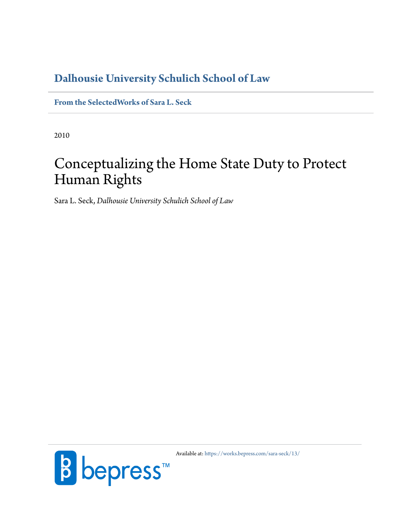## **[Dalhousie University Schulich School of Law](https://www.dal.ca/faculty/law.html)**

**[From the SelectedWorks of Sara L. Seck](https://works.bepress.com/sara-seck/)**

2010

# Conceptualizing the Home State Duty to Protect Human Rights

Sara L. Seck, *Dalhousie University Schulich School of Law*



Available at: <https://works.bepress.com/sara-seck/13/>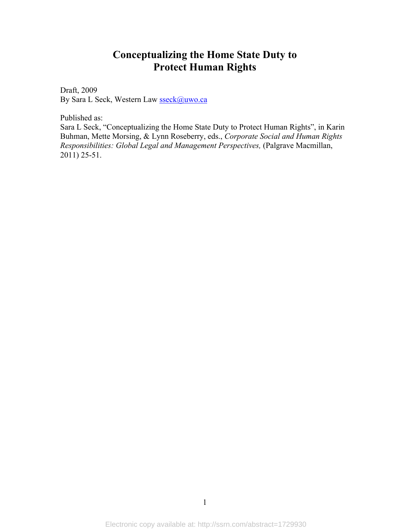### **Conceptualizing the Home State Duty to Protect Human Rights**

Draft, 2009 By Sara L Seck, Western Law sseck@uwo.ca

Published as:

Sara L Seck, "Conceptualizing the Home State Duty to Protect Human Rights", in Karin Buhman, Mette Morsing, & Lynn Roseberry, eds., *Corporate Social and Human Rights Responsibilities: Global Legal and Management Perspectives,* (Palgrave Macmillan, 2011) 25-51.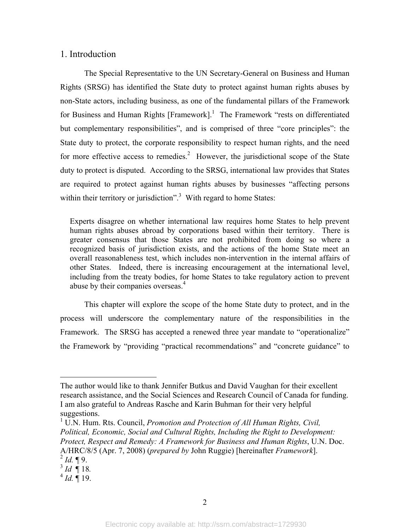#### 1. Introduction

The Special Representative to the UN Secretary-General on Business and Human Rights (SRSG) has identified the State duty to protect against human rights abuses by non-State actors, including business, as one of the fundamental pillars of the Framework for Business and Human Rights [Framework]. $<sup>1</sup>$  The Framework "rests on differentiated</sup> but complementary responsibilities", and is comprised of three "core principles": the State duty to protect, the corporate responsibility to respect human rights, and the need for more effective access to remedies.<sup>2</sup> However, the jurisdictional scope of the State duty to protect is disputed. According to the SRSG, international law provides that States are required to protect against human rights abuses by businesses "affecting persons within their territory or jurisdiction".<sup>3</sup> With regard to home States:

Experts disagree on whether international law requires home States to help prevent human rights abuses abroad by corporations based within their territory. There is greater consensus that those States are not prohibited from doing so where a recognized basis of jurisdiction exists, and the actions of the home State meet an overall reasonableness test, which includes non-intervention in the internal affairs of other States. Indeed, there is increasing encouragement at the international level, including from the treaty bodies, for home States to take regulatory action to prevent abuse by their companies overseas.<sup>4</sup>

This chapter will explore the scope of the home State duty to protect, and in the process will underscore the complementary nature of the responsibilities in the Framework. The SRSG has accepted a renewed three year mandate to "operationalize" the Framework by "providing "practical recommendations" and "concrete guidance" to

 $\overline{a}$ 

The author would like to thank Jennifer Butkus and David Vaughan for their excellent research assistance, and the Social Sciences and Research Council of Canada for funding. I am also grateful to Andreas Rasche and Karin Buhman for their very helpful suggestions.

<sup>&</sup>lt;sup>1</sup> U.N. Hum. Rts. Council, *Promotion and Protection of All Human Rights, Civil, Political, Economic, Social and Cultural Rights, Including the Right to Development: Protect, Respect and Remedy: A Framework for Business and Human Rights*, U.N. Doc. A/HRC/8/5 (Apr. 7, 2008) (*prepared by* John Ruggie) [hereinafter *Framework*].  $^{2}$  *Id.* ¶ 9.

 $\frac{3}{4}$  *Id*  $\frac{9}{10}$  18.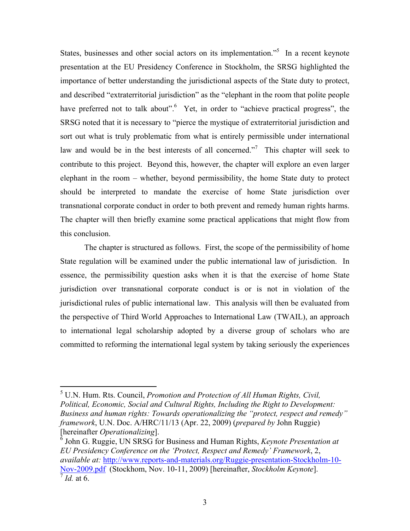States, businesses and other social actors on its implementation."<sup>5</sup> In a recent keynote presentation at the EU Presidency Conference in Stockholm, the SRSG highlighted the importance of better understanding the jurisdictional aspects of the State duty to protect, and described "extraterritorial jurisdiction" as the "elephant in the room that polite people have preferred not to talk about". Yet, in order to "achieve practical progress", the SRSG noted that it is necessary to "pierce the mystique of extraterritorial jurisdiction and sort out what is truly problematic from what is entirely permissible under international law and would be in the best interests of all concerned."<sup>7</sup> This chapter will seek to contribute to this project. Beyond this, however, the chapter will explore an even larger elephant in the room – whether, beyond permissibility, the home State duty to protect should be interpreted to mandate the exercise of home State jurisdiction over transnational corporate conduct in order to both prevent and remedy human rights harms. The chapter will then briefly examine some practical applications that might flow from this conclusion.

The chapter is structured as follows. First, the scope of the permissibility of home State regulation will be examined under the public international law of jurisdiction. In essence, the permissibility question asks when it is that the exercise of home State jurisdiction over transnational corporate conduct is or is not in violation of the jurisdictional rules of public international law. This analysis will then be evaluated from the perspective of Third World Approaches to International Law (TWAIL), an approach to international legal scholarship adopted by a diverse group of scholars who are committed to reforming the international legal system by taking seriously the experiences

 <sup>5</sup> U.N. Hum. Rts. Council, *Promotion and Protection of All Human Rights, Civil, Political, Economic, Social and Cultural Rights, Including the Right to Development: Business and human rights: Towards operationalizing the "protect, respect and remedy" framework*, U.N. Doc. A/HRC/11/13 (Apr. 22, 2009) (*prepared by* John Ruggie) [hereinafter *Operationalizing*].

<sup>6</sup> John G. Ruggie, UN SRSG for Business and Human Rights, *Keynote Presentation at EU Presidency Conference on the 'Protect, Respect and Remedy' Framework*, 2, *available at:* http://www.reports-and-materials.org/Ruggie-presentation-Stockholm-10- Nov-2009.pdf (Stockhom, Nov. 10-11, 2009) [hereinafter, *Stockholm Keynote*].  $\sqrt{7}$  *Id.* at 6.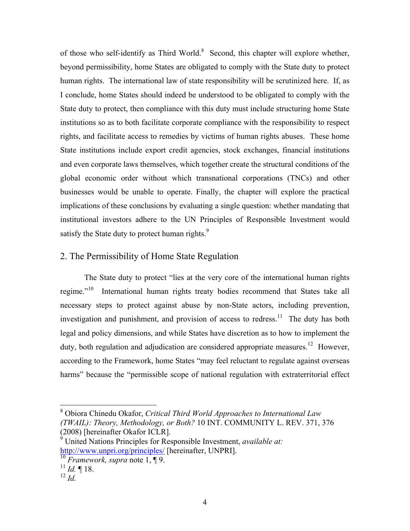of those who self-identify as Third World. $8$  Second, this chapter will explore whether, beyond permissibility, home States are obligated to comply with the State duty to protect human rights. The international law of state responsibility will be scrutinized here. If, as I conclude, home States should indeed be understood to be obligated to comply with the State duty to protect, then compliance with this duty must include structuring home State institutions so as to both facilitate corporate compliance with the responsibility to respect rights, and facilitate access to remedies by victims of human rights abuses. These home State institutions include export credit agencies, stock exchanges, financial institutions and even corporate laws themselves, which together create the structural conditions of the global economic order without which transnational corporations (TNCs) and other businesses would be unable to operate. Finally, the chapter will explore the practical implications of these conclusions by evaluating a single question: whether mandating that institutional investors adhere to the UN Principles of Responsible Investment would satisfy the State duty to protect human rights.<sup>9</sup>

#### 2. The Permissibility of Home State Regulation

The State duty to protect "lies at the very core of the international human rights regime."<sup>10</sup> International human rights treaty bodies recommend that States take all necessary steps to protect against abuse by non-State actors, including prevention, investigation and punishment, and provision of access to redress.<sup>11</sup> The duty has both legal and policy dimensions, and while States have discretion as to how to implement the duty, both regulation and adjudication are considered appropriate measures.<sup>12</sup> However, according to the Framework, home States "may feel reluctant to regulate against overseas harms" because the "permissible scope of national regulation with extraterritorial effect

 <sup>8</sup> Obiora Chinedu Okafor, *Critical Third World Approaches to International Law (TWAIL): Theory, Methodology, or Both?* 10 INT. COMMUNITY L. REV. 371, 376 (2008) [hereinafter Okafor ICLR].

<sup>9</sup> United Nations Principles for Responsible Investment, *available at:*  http://www.unpri.org/principles/ [hereinafter, UNPRI].

<sup>10</sup> *Framework, supra* note 1, ¶ 9.

 $11$  *Id.* 18.

<sup>12</sup> *Id.*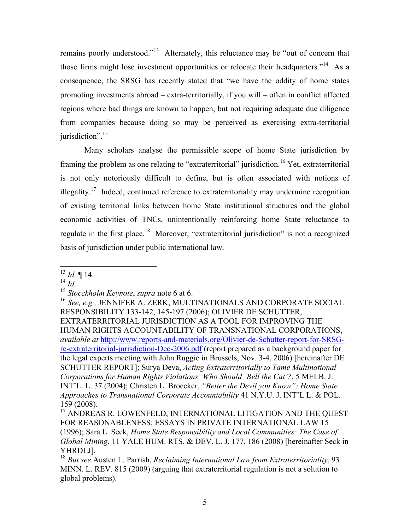remains poorly understood."<sup>13</sup> Alternately, this reluctance may be "out of concern that those firms might lose investment opportunities or relocate their headquarters."<sup>14</sup> As a consequence, the SRSG has recently stated that "we have the oddity of home states promoting investments abroad – extra-territorially, if you will – often in conflict affected regions where bad things are known to happen, but not requiring adequate due diligence from companies because doing so may be perceived as exercising extra-territorial jurisdiction".<sup>15</sup>

Many scholars analyse the permissible scope of home State jurisdiction by framing the problem as one relating to "extraterritorial" jurisdiction.<sup>16</sup> Yet, extraterritorial is not only notoriously difficult to define, but is often associated with notions of illegality.<sup>17</sup> Indeed, continued reference to extraterritoriality may undermine recognition of existing territorial links between home State institutional structures and the global economic activities of TNCs, unintentionally reinforcing home State reluctance to regulate in the first place.<sup>18</sup> Moreover, "extraterritorial jurisdiction" is not a recognized basis of jurisdiction under public international law.

 <sup>13</sup> *Id.* ¶ 14.

 $14 \overline{Id}$ .

<sup>15</sup> *Stocckholm Keynote*, *supra* note 6 at 6.

<sup>16</sup> *See, e.g.,* JENNIFER A. ZERK, MULTINATIONALS AND CORPORATE SOCIAL RESPONSIBILITY 133-142, 145-197 (2006); OLIVIER DE SCHUTTER, EXTRATERRITORIAL JURISDICTION AS A TOOL FOR IMPROVING THE HUMAN RIGHTS ACCOUNTABILITY OF TRANSNATIONAL CORPORATIONS, *available at* http://www.reports-and-materials.org/Olivier-de-Schutter-report-for-SRSGre-extraterritorial-jurisdiction-Dec-2006.pdf (report prepared as a background paper for the legal experts meeting with John Ruggie in Brussels, Nov. 3-4, 2006) [hereinafter DE SCHUTTER REPORT]; Surya Deva, *Acting Extraterritorially to Tame Multinational Corporations for Human Rights Violations: Who Should 'Bell the Cat'?*, 5 MELB. J. INT'L. L. 37 (2004); Christen L. Broecker, *"Better the Devil you Know": Home State Approaches to Transnational Corporate Accountability* 41 N.Y.U. J. INT'L L. & POL. 159 (2008).

<sup>&</sup>lt;sup>17</sup> ANDREAS R. LOWENFELD, INTERNATIONAL LITIGATION AND THE QUEST FOR REASONABLENESS: ESSAYS IN PRIVATE INTERNATIONAL LAW 15 (1996); Sara L. Seck, *Home State Responsibility and Local Communities: The Case of Global Mining*, 11 YALE HUM. RTS. & DEV. L. J. 177, 186 (2008) [hereinafter Seck in YHRDLJ].

<sup>18</sup> *But see* Austen L. Parrish, *Reclaiming International Law from Extraterritoriality*, 93 MINN. L. REV. 815 (2009) (arguing that extraterritorial regulation is not a solution to global problems).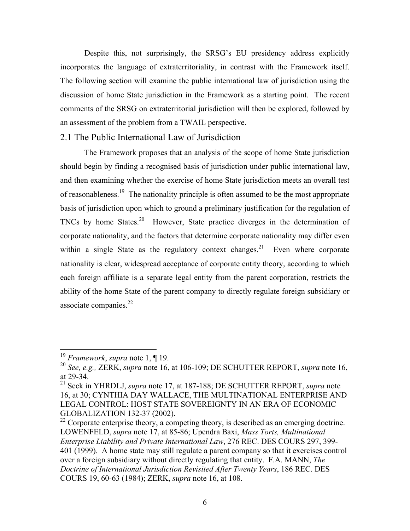Despite this, not surprisingly, the SRSG's EU presidency address explicitly incorporates the language of extraterritoriality, in contrast with the Framework itself. The following section will examine the public international law of jurisdiction using the discussion of home State jurisdiction in the Framework as a starting point. The recent comments of the SRSG on extraterritorial jurisdiction will then be explored, followed by an assessment of the problem from a TWAIL perspective.

#### 2.1 The Public International Law of Jurisdiction

The Framework proposes that an analysis of the scope of home State jurisdiction should begin by finding a recognised basis of jurisdiction under public international law, and then examining whether the exercise of home State jurisdiction meets an overall test of reasonableness.<sup>19</sup> The nationality principle is often assumed to be the most appropriate basis of jurisdiction upon which to ground a preliminary justification for the regulation of TNCs by home States.20 However, State practice diverges in the determination of corporate nationality, and the factors that determine corporate nationality may differ even within a single State as the regulatory context changes.<sup>21</sup> Even where corporate nationality is clear, widespread acceptance of corporate entity theory, according to which each foreign affiliate is a separate legal entity from the parent corporation, restricts the ability of the home State of the parent company to directly regulate foreign subsidiary or associate companies. $^{22}$ 

 <sup>19</sup> *Framework*, *supra* note 1, ¶ 19.

<sup>20</sup> *See, e.g.,* ZERK, *supra* note 16, at 106-109; DE SCHUTTER REPORT, *supra* note 16, at 29-34.

<sup>21</sup> Seck in YHRDLJ, *supra* note 17, at 187-188; DE SCHUTTER REPORT, *supra* note 16, at 30; CYNTHIA DAY WALLACE, THE MULTINATIONAL ENTERPRISE AND LEGAL CONTROL: HOST STATE SOVEREIGNTY IN AN ERA OF ECONOMIC GLOBALIZATION 132-37 (2002).

 $22$  Corporate enterprise theory, a competing theory, is described as an emerging doctrine. LOWENFELD, *supra* note 17, at 85-86; Upendra Baxi, *Mass Torts, Multinational Enterprise Liability and Private International Law*, 276 REC. DES COURS 297, 399- 401 (1999). A home state may still regulate a parent company so that it exercises control over a foreign subsidiary without directly regulating that entity. F.A. MANN, *The Doctrine of International Jurisdiction Revisited After Twenty Years*, 186 REC. DES COURS 19, 60-63 (1984); ZERK, *supra* note 16, at 108.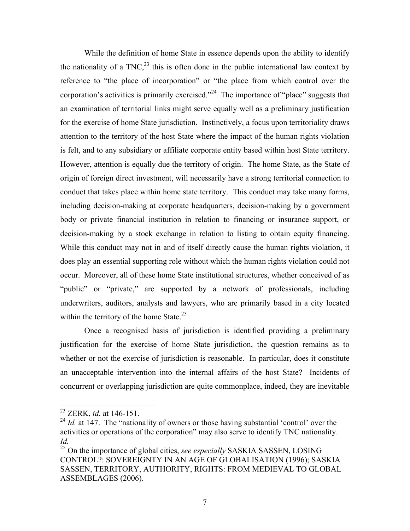While the definition of home State in essence depends upon the ability to identify the nationality of a TNC,  $^{23}$  this is often done in the public international law context by reference to "the place of incorporation" or "the place from which control over the corporation's activities is primarily exercised. $^{24}$  The importance of "place" suggests that an examination of territorial links might serve equally well as a preliminary justification for the exercise of home State jurisdiction. Instinctively, a focus upon territoriality draws attention to the territory of the host State where the impact of the human rights violation is felt, and to any subsidiary or affiliate corporate entity based within host State territory. However, attention is equally due the territory of origin. The home State, as the State of origin of foreign direct investment, will necessarily have a strong territorial connection to conduct that takes place within home state territory. This conduct may take many forms, including decision-making at corporate headquarters, decision-making by a government body or private financial institution in relation to financing or insurance support, or decision-making by a stock exchange in relation to listing to obtain equity financing. While this conduct may not in and of itself directly cause the human rights violation, it does play an essential supporting role without which the human rights violation could not occur. Moreover, all of these home State institutional structures, whether conceived of as "public" or "private," are supported by a network of professionals, including underwriters, auditors, analysts and lawyers, who are primarily based in a city located within the territory of the home State. $25$ 

Once a recognised basis of jurisdiction is identified providing a preliminary justification for the exercise of home State jurisdiction, the question remains as to whether or not the exercise of jurisdiction is reasonable. In particular, does it constitute an unacceptable intervention into the internal affairs of the host State? Incidents of concurrent or overlapping jurisdiction are quite commonplace, indeed, they are inevitable

 <sup>23</sup> ZERK, *id.* at 146-151.

 $^{24}$  *Id.* at 147. The "nationality of owners or those having substantial 'control' over the activities or operations of the corporation" may also serve to identify TNC nationality. *Id.*

<sup>&</sup>lt;sup>25</sup> On the importance of global cities, *see especially* SASKIA SASSEN, LOSING CONTROL?: SOVEREIGNTY IN AN AGE OF GLOBALISATION (1996); SASKIA SASSEN, TERRITORY, AUTHORITY, RIGHTS: FROM MEDIEVAL TO GLOBAL ASSEMBLAGES (2006).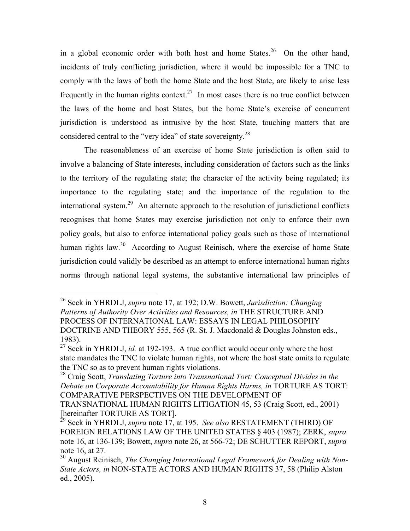in a global economic order with both host and home States.<sup>26</sup> On the other hand, incidents of truly conflicting jurisdiction, where it would be impossible for a TNC to comply with the laws of both the home State and the host State, are likely to arise less frequently in the human rights context.<sup>27</sup> In most cases there is no true conflict between the laws of the home and host States, but the home State's exercise of concurrent jurisdiction is understood as intrusive by the host State, touching matters that are considered central to the "very idea" of state sovereignty.<sup>28</sup>

The reasonableness of an exercise of home State jurisdiction is often said to involve a balancing of State interests, including consideration of factors such as the links to the territory of the regulating state; the character of the activity being regulated; its importance to the regulating state; and the importance of the regulation to the international system.<sup>29</sup> An alternate approach to the resolution of jurisdictional conflicts recognises that home States may exercise jurisdiction not only to enforce their own policy goals, but also to enforce international policy goals such as those of international human rights law.<sup>30</sup> According to August Reinisch, where the exercise of home State jurisdiction could validly be described as an attempt to enforce international human rights norms through national legal systems, the substantive international law principles of

 <sup>26</sup> Seck in YHRDLJ, *supra* note 17, at 192; D.W. Bowett, *Jurisdiction: Changing*  Patterns of Authority Over Activities and Resources, in THE STRUCTURE AND PROCESS OF INTERNATIONAL LAW: ESSAYS IN LEGAL PHILOSOPHY DOCTRINE AND THEORY 555, 565 (R. St. J. Macdonald & Douglas Johnston eds., 1983).

<sup>&</sup>lt;sup>27</sup> Seck in YHRDLJ, *id.* at 192-193. A true conflict would occur only where the host state mandates the TNC to violate human rights, not where the host state omits to regulate the TNC so as to prevent human rights violations.

<sup>28</sup> Craig Scott, *Translating Torture into Transnational Tort: Conceptual Divides in the Debate on Corporate Accountability for Human Rights Harms, in TORTURE AS TORT:* COMPARATIVE PERSPECTIVES ON THE DEVELOPMENT OF

TRANSNATIONAL HUMAN RIGHTS LITIGATION 45, 53 (Craig Scott, ed., 2001) [hereinafter TORTURE AS TORT].

<sup>29</sup> Seck in YHRDLJ, *supra* note 17, at 195. *See also* RESTATEMENT (THIRD) OF FOREIGN RELATIONS LAW OF THE UNITED STATES § 403 (1987); ZERK, *supra*  note 16, at 136-139; Bowett, *supra* note 26, at 566-72; DE SCHUTTER REPORT, *supra*  note 16, at 27.

<sup>30</sup> August Reinisch, *The Changing International Legal Framework for Dealing with Non-State Actors, in* NON-STATE ACTORS AND HUMAN RIGHTS 37, 58 (Philip Alston ed., 2005).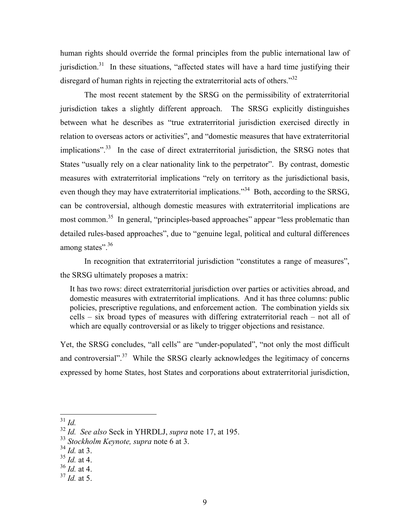human rights should override the formal principles from the public international law of jurisdiction.<sup>31</sup> In these situations, "affected states will have a hard time justifying their disregard of human rights in rejecting the extraterritorial acts of others.<sup>32</sup>

The most recent statement by the SRSG on the permissibility of extraterritorial jurisdiction takes a slightly different approach. The SRSG explicitly distinguishes between what he describes as "true extraterritorial jurisdiction exercised directly in relation to overseas actors or activities", and "domestic measures that have extraterritorial implications".<sup>33</sup> In the case of direct extraterritorial jurisdiction, the SRSG notes that States "usually rely on a clear nationality link to the perpetrator". By contrast, domestic measures with extraterritorial implications "rely on territory as the jurisdictional basis, even though they may have extraterritorial implications."<sup>34</sup> Both, according to the SRSG, can be controversial, although domestic measures with extraterritorial implications are most common.<sup>35</sup> In general, "principles-based approaches" appear "less problematic than detailed rules-based approaches", due to "genuine legal, political and cultural differences among states".<sup>36</sup>

In recognition that extraterritorial jurisdiction "constitutes a range of measures", the SRSG ultimately proposes a matrix:

It has two rows: direct extraterritorial jurisdiction over parties or activities abroad, and domestic measures with extraterritorial implications. And it has three columns: public policies, prescriptive regulations, and enforcement action. The combination yields six cells – six broad types of measures with differing extraterritorial reach – not all of which are equally controversial or as likely to trigger objections and resistance.

Yet, the SRSG concludes, "all cells" are "under-populated", "not only the most difficult and controversial".<sup>37</sup> While the SRSG clearly acknowledges the legitimacy of concerns expressed by home States, host States and corporations about extraterritorial jurisdiction,

 $31$  *Id.* 

<sup>32</sup> *Id. See also* Seck in YHRDLJ, *supra* note 17, at 195.

<sup>33</sup> *Stockholm Keynote, supra* note 6 at 3.

<sup>34</sup> *Id.* at 3.

<sup>35</sup> *Id.* at 4.

<sup>36</sup> *Id.* at 4.

<sup>37</sup> *Id.* at 5.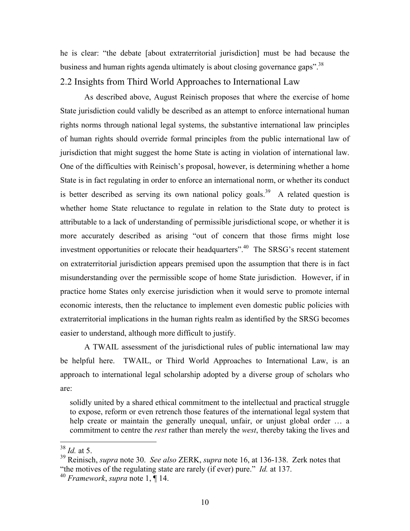he is clear: "the debate [about extraterritorial jurisdiction] must be had because the business and human rights agenda ultimately is about closing governance gaps".<sup>38</sup>

#### 2.2 Insights from Third World Approaches to International Law

As described above, August Reinisch proposes that where the exercise of home State jurisdiction could validly be described as an attempt to enforce international human rights norms through national legal systems, the substantive international law principles of human rights should override formal principles from the public international law of jurisdiction that might suggest the home State is acting in violation of international law. One of the difficulties with Reinisch's proposal, however, is determining whether a home State is in fact regulating in order to enforce an international norm, or whether its conduct is better described as serving its own national policy goals.<sup>39</sup> A related question is whether home State reluctance to regulate in relation to the State duty to protect is attributable to a lack of understanding of permissible jurisdictional scope, or whether it is more accurately described as arising "out of concern that those firms might lose investment opportunities or relocate their headquarters".<sup>40</sup> The SRSG's recent statement on extraterritorial jurisdiction appears premised upon the assumption that there is in fact misunderstanding over the permissible scope of home State jurisdiction. However, if in practice home States only exercise jurisdiction when it would serve to promote internal economic interests, then the reluctance to implement even domestic public policies with extraterritorial implications in the human rights realm as identified by the SRSG becomes easier to understand, although more difficult to justify.

A TWAIL assessment of the jurisdictional rules of public international law may be helpful here. TWAIL, or Third World Approaches to International Law, is an approach to international legal scholarship adopted by a diverse group of scholars who are:

solidly united by a shared ethical commitment to the intellectual and practical struggle to expose, reform or even retrench those features of the international legal system that help create or maintain the generally unequal, unfair, or unjust global order ... a commitment to centre the *rest* rather than merely the *west*, thereby taking the lives and

 <sup>38</sup> *Id.* at 5.

<sup>39</sup> Reinisch, *supra* note 30. *See also* ZERK, *supra* note 16, at 136-138. Zerk notes that "the motives of the regulating state are rarely (if ever) pure." *Id.* at 137.

<sup>40</sup> *Framework*, *supra* note 1, ¶ 14.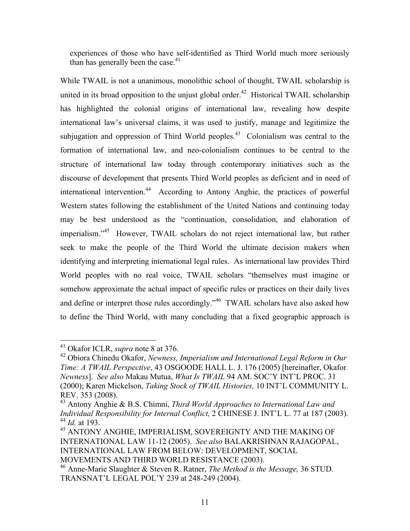experiences of those who have self-identified as Third World much more seriously than has generally been the case. $41$ 

While TWAIL is not a unanimous, monolithic school of thought, TWAIL scholarship is united in its broad opposition to the unjust global order.<sup>42</sup> Historical TWAIL scholarship has highlighted the colonial origins of international law, revealing how despite international law's universal claims, it was used to justify, manage and legitimize the subjugation and oppression of Third World peoples.<sup>43</sup> Colonialism was central to the formation of international law, and neo-colonialism continues to be central to the structure of international law today through contemporary initiatives such as the discourse of development that presents Third World peoples as deficient and in need of international intervention.<sup>44</sup> According to Antony Anghie, the practices of powerful Western states following the establishment of the United Nations and continuing today may be best understood as the "continuation, consolidation, and elaboration of imperialism."45 However, TWAIL scholars do not reject international law, but rather seek to make the people of the Third World the ultimate decision makers when identifying and interpreting international legal rules. As international law provides Third World peoples with no real voice, TWAIL scholars "themselves must imagine or somehow approximate the actual impact of specific rules or practices on their daily lives and define or interpret those rules accordingly."46 TWAIL scholars have also asked how to define the Third World, with many concluding that a fixed geographic approach is

 <sup>41</sup> Okafor ICLR, *supra* note 8 at 376.

<sup>42</sup> Obiora Chinedu Okafor, *Newness, Imperialism and International Legal Reform in Our Time: A TWAIL Perspective*, 43 OSGOODE HALL L. J. 176 (2005) [hereinafter, Okafor *Newness*]. *See also* Makau Mutua, *What Is TWAIL* 94 AM. SOC'Y INT'L PROC. 31 (2000); Karen Mickelson, *Taking Stock of TWAIL Histories,* 10 INT'L COMMUNITY L. REV. 353 (2008).

<sup>43</sup> Antony Anghie & B.S. Chimni, *Third World Approaches to International Law and Individual Responsibility for Internal Conflict,* 2 CHINESE J. INT'L L. 77 at 187 (2003). <sup>44</sup> *Id.* at 193.

 $^{45}$  ANTONY ANGHIE, IMPERIALISM, SOVEREIGNTY AND THE MAKING OF INTERNATIONAL LAW 11-12 (2005). *See also* BALAKRISHNAN RAJAGOPAL, INTERNATIONAL LAW FROM BELOW: DEVELOPMENT, SOCIAL MOVEMENTS AND THIRD WORLD RESISTANCE (2003).

<sup>46</sup> Anne-Marie Slaughter & Steven R. Ratner, *The Method is the Message,* 36 STUD. TRANSNAT'L LEGAL POL'Y 239 at 248-249 (2004).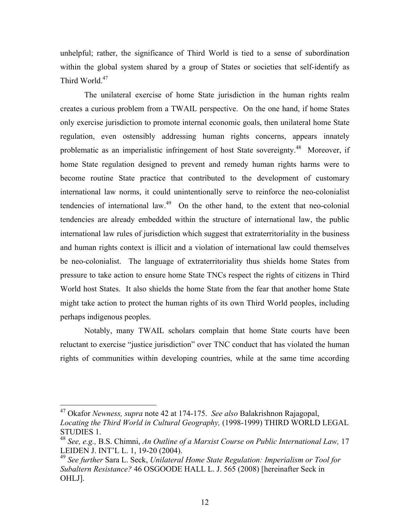unhelpful; rather, the significance of Third World is tied to a sense of subordination within the global system shared by a group of States or societies that self-identify as Third World.<sup>47</sup>

The unilateral exercise of home State jurisdiction in the human rights realm creates a curious problem from a TWAIL perspective. On the one hand, if home States only exercise jurisdiction to promote internal economic goals, then unilateral home State regulation, even ostensibly addressing human rights concerns, appears innately problematic as an imperialistic infringement of host State sovereignty.48 Moreover, if home State regulation designed to prevent and remedy human rights harms were to become routine State practice that contributed to the development of customary international law norms, it could unintentionally serve to reinforce the neo-colonialist tendencies of international law.<sup>49</sup> On the other hand, to the extent that neo-colonial tendencies are already embedded within the structure of international law, the public international law rules of jurisdiction which suggest that extraterritoriality in the business and human rights context is illicit and a violation of international law could themselves be neo-colonialist. The language of extraterritoriality thus shields home States from pressure to take action to ensure home State TNCs respect the rights of citizens in Third World host States. It also shields the home State from the fear that another home State might take action to protect the human rights of its own Third World peoples, including perhaps indigenous peoples.

Notably, many TWAIL scholars complain that home State courts have been reluctant to exercise "justice jurisdiction" over TNC conduct that has violated the human rights of communities within developing countries, while at the same time according

 <sup>47</sup> Okafor *Newness, supra* note 42 at 174-175. *See also* Balakrishnon Rajagopal, *Locating the Third World in Cultural Geography,* (1998-1999) THIRD WORLD LEGAL STUDIES 1.

<sup>48</sup> *See, e.g.,* B.S. Chimni, *An Outline of a Marxist Course on Public International Law,* 17 LEIDEN J. INT'L L. 1, 19-20 (2004).

<sup>49</sup> *See further* Sara L. Seck, *Unilateral Home State Regulation: Imperialism or Tool for Subaltern Resistance?* 46 OSGOODE HALL L. J. 565 (2008) [hereinafter Seck in OHLJ].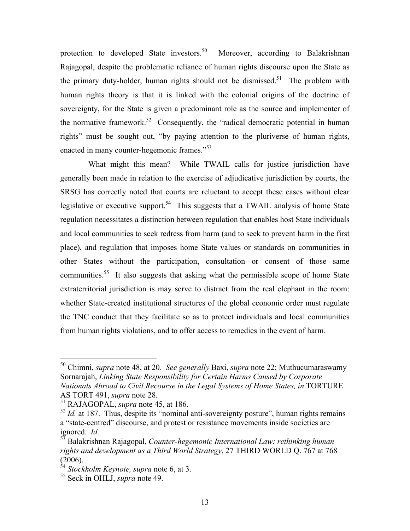protection to developed State investors.<sup>50</sup> Moreover, according to Balakrishnan Rajagopal, despite the problematic reliance of human rights discourse upon the State as the primary duty-holder, human rights should not be dismissed.<sup>51</sup> The problem with human rights theory is that it is linked with the colonial origins of the doctrine of sovereignty, for the State is given a predominant role as the source and implementer of the normative framework.<sup>52</sup> Consequently, the "radical democratic potential in human rights" must be sought out, "by paying attention to the pluriverse of human rights, enacted in many counter-hegemonic frames."<sup>53</sup>

What might this mean? While TWAIL calls for justice jurisdiction have generally been made in relation to the exercise of adjudicative jurisdiction by courts, the SRSG has correctly noted that courts are reluctant to accept these cases without clear legislative or executive support.<sup>54</sup> This suggests that a TWAIL analysis of home State regulation necessitates a distinction between regulation that enables host State individuals and local communities to seek redress from harm (and to seek to prevent harm in the first place), and regulation that imposes home State values or standards on communities in other States without the participation, consultation or consent of those same communities.<sup>55</sup> It also suggests that asking what the permissible scope of home State extraterritorial jurisdiction is may serve to distract from the real elephant in the room: whether State-created institutional structures of the global economic order must regulate the TNC conduct that they facilitate so as to protect individuals and local communities from human rights violations, and to offer access to remedies in the event of harm.

 <sup>50</sup> Chimni, *supra* note 48, at 20. *See generally* Baxi, *supra* note 22; Muthucumaraswamy Sornarajah, *Linking State Responsibility for Certain Harms Caused by Corporate Nationals Abroad to Civil Recourse in the Legal Systems of Home States, in TORTURE* AS TORT 491, *supra* note 28. 51 RAJAGOPAL, *supra* note 45, at 186.

<sup>&</sup>lt;sup>52</sup> *Id.* at 187. Thus, despite its "nominal anti-sovereignty posture", human rights remains a "state-centred" discourse, and protest or resistance movements inside societies are ignored. *Id.*

<sup>53</sup> Balakrishnan Rajagopal, *Counter-hegemonic International Law: rethinking human rights and development as a Third World Strategy*, 27 THIRD WORLD Q. 767 at 768 (2006).

<sup>54</sup> *Stockholm Keynote, supra* note 6, at 3.

<sup>55</sup> Seck in OHLJ, *supra* note 49.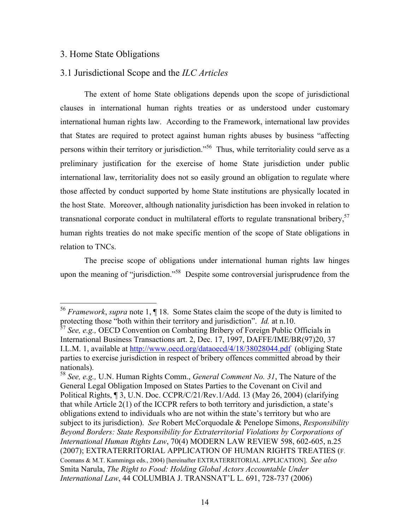#### 3. Home State Obligations

#### 3.1 Jurisdictional Scope and the *ILC Articles*

The extent of home State obligations depends upon the scope of jurisdictional clauses in international human rights treaties or as understood under customary international human rights law. According to the Framework, international law provides that States are required to protect against human rights abuses by business "affecting persons within their territory or jurisdiction."<sup>56</sup> Thus, while territoriality could serve as a preliminary justification for the exercise of home State jurisdiction under public international law, territoriality does not so easily ground an obligation to regulate where those affected by conduct supported by home State institutions are physically located in the host State. Moreover, although nationality jurisdiction has been invoked in relation to transnational corporate conduct in multilateral efforts to regulate transnational bribery,  $57$ human rights treaties do not make specific mention of the scope of State obligations in relation to TNCs.

The precise scope of obligations under international human rights law hinges upon the meaning of "jurisdiction."<sup>58</sup> Despite some controversial jurisprudence from the

 <sup>56</sup> *Framework*, *supra* note 1, ¶ 18. Some States claim the scope of the duty is limited to protecting those "both within their territory and jurisdiction". *Id.* at n.10. <sup>57</sup> *See, e.g., OECD Convention on Combating Bribery of Foreign Public Officials in* 

International Business Transactions art. 2, Dec. 17, 1997, DAFFE/IME/BR(97)20, 37 I.L.M. 1, available at http://www.oecd.org/dataoecd/4/18/38028044.pdf (obliging State parties to exercise jurisdiction in respect of bribery offences committed abroad by their nationals).

<sup>58</sup> *See, e.g.,* U.N. Human Rights Comm., *General Comment No. 31*, The Nature of the General Legal Obligation Imposed on States Parties to the Covenant on Civil and Political Rights, ¶ 3, U.N. Doc. CCPR/C/21/Rev.1/Add. 13 (May 26, 2004) (clarifying that while Article 2(1) of the ICCPR refers to both territory and jurisdiction, a state's obligations extend to individuals who are not within the state's territory but who are subject to its jurisdiction). *See* Robert McCorquodale & Penelope Simons, *Responsibility Beyond Borders: State Responsibility for Extraterritorial Violations by Corporations of International Human Rights Law*, 70(4) MODERN LAW REVIEW 598, 602-605, n.25 (2007); EXTRATERRITORIAL APPLICATION OF HUMAN RIGHTS TREATIES (F. Coomans & M.T. Kamminga eds., 2004) [hereinafter EXTRATERRITORIAL APPLICATION]. *See also*  Smita Narula, *The Right to Food: Holding Global Actors Accountable Under International Law*, 44 COLUMBIA J. TRANSNAT'L L. 691, 728-737 (2006)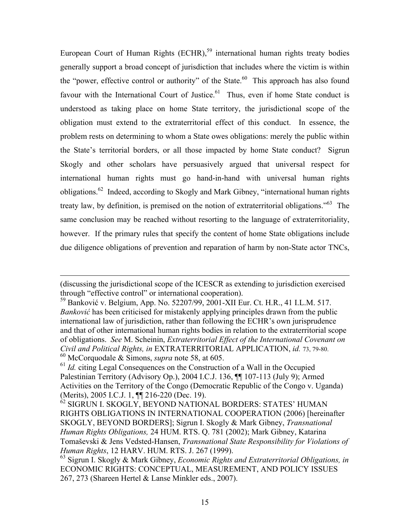European Court of Human Rights (ECHR),<sup>59</sup> international human rights treaty bodies generally support a broad concept of jurisdiction that includes where the victim is within the "power, effective control or authority" of the State.<sup>60</sup> This approach has also found favour with the International Court of Justice. $61$  Thus, even if home State conduct is understood as taking place on home State territory, the jurisdictional scope of the obligation must extend to the extraterritorial effect of this conduct. In essence, the problem rests on determining to whom a State owes obligations: merely the public within the State's territorial borders, or all those impacted by home State conduct? Sigrun Skogly and other scholars have persuasively argued that universal respect for international human rights must go hand-in-hand with universal human rights obligations.62 Indeed, according to Skogly and Mark Gibney, "international human rights treaty law, by definition, is premised on the notion of extraterritorial obligations."63 The same conclusion may be reached without resorting to the language of extraterritoriality, however. If the primary rules that specify the content of home State obligations include due diligence obligations of prevention and reparation of harm by non-State actor TNCs,

 $\overline{a}$ 

<sup>(</sup>discussing the jurisdictional scope of the ICESCR as extending to jurisdiction exercised through "effective control" or international cooperation).

<sup>59</sup> Banković v. Belgium, App. No. 52207/99, 2001-XII Eur. Ct. H.R., 41 I.L.M. 517. *Banković* has been criticised for mistakenly applying principles drawn from the public international law of jurisdiction, rather than following the ECHR's own jurisprudence and that of other international human rights bodies in relation to the extraterritorial scope of obligations. *See* M. Scheinin, *Extraterritorial Effect of the International Covenant on Civil and Political Rights, in* EXTRATERRITORIAL APPLICATION, *id.* 73, 79-80. <sup>60</sup> McCorquodale & Simons, *supra* note 58, at 605.

<sup>&</sup>lt;sup>61</sup> *Id.* citing Legal Consequences on the Construction of a Wall in the Occupied Palestinian Territory (Advisory Op.), 2004 I.C.J. 136, ¶¶ 107-113 (July 9); Armed Activities on the Territory of the Congo (Democratic Republic of the Congo v. Uganda) (Merits), 2005 I.C.J. 1, ¶¶ 216-220 (Dec. 19).

 $62$  SIGRUN I. SKOGLY, BEYOND NATIONAL BORDERS: STATES' HUMAN RIGHTS OBLIGATIONS IN INTERNATIONAL COOPERATION (2006) [hereinafter SKOGLY, BEYOND BORDERS]; Sigrun I. Skogly & Mark Gibney, *Transnational Human Rights Obligations,* 24 HUM. RTS. Q. 781 (2002); Mark Gibney, Katarina Tomaševski & Jens Vedsted-Hansen, *Transnational State Responsibility for Violations of Human Rights*, 12 HARV. HUM. RTS. J. 267 (1999).

<sup>63</sup> Sigrun I. Skogly & Mark Gibney, *Economic Rights and Extraterritorial Obligations, in*  ECONOMIC RIGHTS: CONCEPTUAL, MEASUREMENT, AND POLICY ISSUES 267, 273 (Shareen Hertel & Lanse Minkler eds., 2007).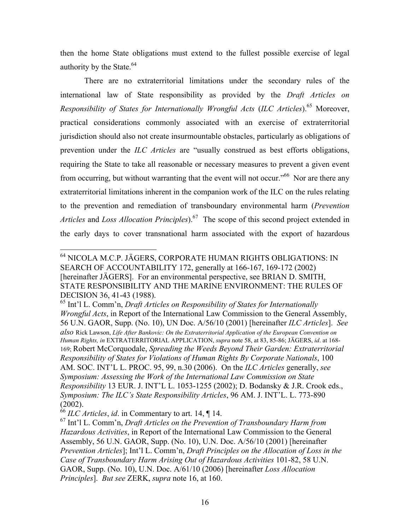then the home State obligations must extend to the fullest possible exercise of legal authority by the State. $64$ 

There are no extraterritorial limitations under the secondary rules of the international law of State responsibility as provided by the *Draft Articles on Responsibility of States for Internationally Wrongful Acts* (*ILC Articles*). <sup>65</sup> Moreover, practical considerations commonly associated with an exercise of extraterritorial jurisdiction should also not create insurmountable obstacles, particularly as obligations of prevention under the *ILC Articles* are "usually construed as best efforts obligations, requiring the State to take all reasonable or necessary measures to prevent a given event from occurring, but without warranting that the event will not occur."<sup>66</sup> Nor are there any extraterritorial limitations inherent in the companion work of the ILC on the rules relating to the prevention and remediation of transboundary environmental harm (*Prevention Articles* and *Loss Allocation Principles*).67 The scope of this second project extended in the early days to cover transnational harm associated with the export of hazardous

 <sup>64</sup> NICOLA M.C.P. JÄGERS, CORPORATE HUMAN RIGHTS OBLIGATIONS: IN SEARCH OF ACCOUNTABILITY 172, generally at 166-167, 169-172 (2002) [hereinafter JÄGERS]. For an environmental perspective, see BRIAN D. SMITH, STATE RESPONSIBILITY AND THE MARINE ENVIRONMENT: THE RULES OF DECISION 36, 41-43 (1988).<br><sup>65</sup> Int'l L. Comm'n, *Draft Articles on Responsibility of States for Internationally* 

*Wrongful Acts*, in Report of the International Law Commission to the General Assembly, 56 U.N. GAOR, Supp. (No. 10), UN Doc. A/56/10 (2001) [hereinafter *ILC Articles*]. *See also* Rick Lawson, *Life After Bankovic: On the Extraterritorial Application of the European Convention on Human Rights, in* EXTRATERRITORIAL APPLICATION, *supra* note 58, at 83, 85-86; JÄGERS, *id*. at 168- 169; Robert McCorquodale, *Spreading the Weeds Beyond Their Garden: Extraterritorial Responsibility of States for Violations of Human Rights By Corporate Nationals*, 100 AM. SOC. INT'L L. PROC. 95, 99, n.30 (2006). On the *ILC Articles* generally, *see Symposium: Assessing the Work of the International Law Commission on State Responsibility* 13 EUR. J. INT'L L. 1053-1255 (2002); D. Bodansky & J.R. Crook eds., *Symposium: The ILC's State Responsibility Articles*, 96 AM. J. INT'L. L. 773-890 (2002).  $^{66}$  ILC Articles, id. in Commentary to art. 14, ¶ 14.

<sup>&</sup>lt;sup>67</sup> Int'l L. Comm'n, *Draft Articles on the Prevention of Transboundary Harm from Hazardous Activities*, in Report of the International Law Commission to the General Assembly, 56 U.N. GAOR, Supp. (No. 10), U.N. Doc. A/56/10 (2001) [hereinafter *Prevention Articles*]; Int'l L. Comm'n, *Draft Principles on the Allocation of Loss in the Case of Transboundary Harm Arising Out of Hazardous Activities* 101-82, 58 U.N. GAOR, Supp. (No. 10), U.N. Doc. A/61/10 (2006) [hereinafter *Loss Allocation Principles*]. *But see* ZERK, *supra* note 16, at 160.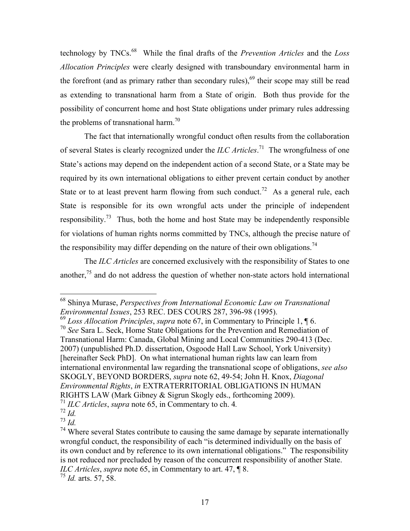technology by TNCs.68 While the final drafts of the *Prevention Articles* and the *Loss Allocation Principles* were clearly designed with transboundary environmental harm in the forefront (and as primary rather than secondary rules),<sup>69</sup> their scope may still be read as extending to transnational harm from a State of origin. Both thus provide for the possibility of concurrent home and host State obligations under primary rules addressing the problems of transnational harm.<sup>70</sup>

The fact that internationally wrongful conduct often results from the collaboration of several States is clearly recognized under the *ILC Articles*. 71 The wrongfulness of one State's actions may depend on the independent action of a second State, or a State may be required by its own international obligations to either prevent certain conduct by another State or to at least prevent harm flowing from such conduct.<sup>72</sup> As a general rule, each State is responsible for its own wrongful acts under the principle of independent responsibility.<sup>73</sup> Thus, both the home and host State may be independently responsible for violations of human rights norms committed by TNCs, although the precise nature of the responsibility may differ depending on the nature of their own obligations.<sup>74</sup>

The *ILC Articles* are concerned exclusively with the responsibility of States to one another, $75$  and do not address the question of whether non-state actors hold international

 <sup>68</sup> Shinya Murase, *Perspectives from International Economic Law on Transnational Environmental Issues*, 253 REC. DES COURS 287, 396-98 (1995).

<sup>69</sup> *Loss Allocation Principles*, *supra* note 67, in Commentary to Principle 1, ¶ 6.

<sup>70</sup> *See* Sara L. Seck, Home State Obligations for the Prevention and Remediation of Transnational Harm: Canada, Global Mining and Local Communities 290-413 (Dec. 2007) (unpublished Ph.D. dissertation, Osgoode Hall Law School, York University) [hereinafter Seck PhD]. On what international human rights law can learn from international environmental law regarding the transnational scope of obligations, *see also*  SKOGLY, BEYOND BORDERS, *supra* note 62, 49-54; John H. Knox, *Diagonal Environmental Rights*, *in* EXTRATERRITORIAL OBLIGATIONS IN HUMAN RIGHTS LAW (Mark Gibney & Sigrun Skogly eds., forthcoming 2009).

<sup>&</sup>lt;sup>71</sup> *ILC Articles, supra* note 65, in Commentary to ch. 4.<br><sup>72</sup> *Id.*<sup>73</sup> *Id.*</sub>

 $74$  Where several States contribute to causing the same damage by separate internationally wrongful conduct, the responsibility of each "is determined individually on the basis of its own conduct and by reference to its own international obligations." The responsibility is not reduced nor precluded by reason of the concurrent responsibility of another State. *ILC Articles*, *supra* note 65, in Commentary to art. 47, ¶ 8. 75 *Id.* arts. 57, 58.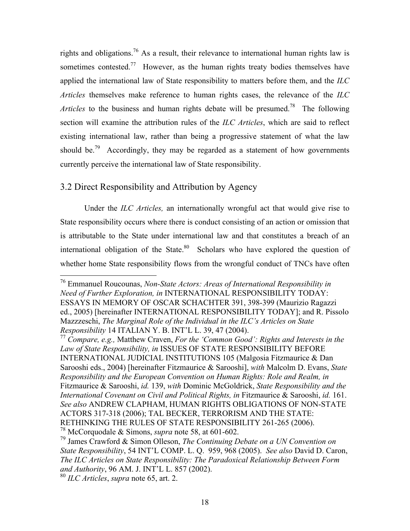rights and obligations.<sup>76</sup> As a result, their relevance to international human rights law is sometimes contested.<sup>77</sup> However, as the human rights treaty bodies themselves have applied the international law of State responsibility to matters before them, and the *ILC Articles* themselves make reference to human rights cases, the relevance of the *ILC Articles* to the business and human rights debate will be presumed.<sup>78</sup> The following section will examine the attribution rules of the *ILC Articles*, which are said to reflect existing international law, rather than being a progressive statement of what the law should be.<sup>79</sup> Accordingly, they may be regarded as a statement of how governments currently perceive the international law of State responsibility.

#### 3.2 Direct Responsibility and Attribution by Agency

Under the *ILC Articles,* an internationally wrongful act that would give rise to State responsibility occurs where there is conduct consisting of an action or omission that is attributable to the State under international law and that constitutes a breach of an international obligation of the State. $80$  Scholars who have explored the question of whether home State responsibility flows from the wrongful conduct of TNCs have often

 <sup>76</sup> Emmanuel Roucounas, *Non-State Actors: Areas of International Responsibility in Need of Further Exploration, in* INTERNATIONAL RESPONSIBILITY TODAY: ESSAYS IN MEMORY OF OSCAR SCHACHTER 391, 398-399 (Maurizio Ragazzi ed., 2005) [hereinafter INTERNATIONAL RESPONSIBILITY TODAY]; and R. Pissolo Mazzzeschi, *The Marginal Role of the Individual in the ILC's Articles on State Responsibility* 14 ITALIAN Y. B. INT'L L. 39, 47 (2004).

<sup>77</sup> *Compare, e.g.,* Matthew Craven, *For the 'Common Good': Rights and Interests in the Law of State Responsibility, in* ISSUES OF STATE RESPONSIBILITY BEFORE INTERNATIONAL JUDICIAL INSTITUTIONS 105 (Malgosia Fitzmaurice & Dan Sarooshi eds., 2004) [hereinafter Fitzmaurice & Sarooshi], *with* Malcolm D. Evans, *State Responsibility and the European Convention on Human Rights: Role and Realm, in* Fitzmaurice & Sarooshi, *id.* 139, *with* Dominic McGoldrick, *State Responsibility and the International Covenant on Civil and Political Rights, in* Fitzmaurice & Sarooshi, *id.* 161. *See also* ANDREW CLAPHAM, HUMAN RIGHTS OBLIGATIONS OF NON-STATE ACTORS 317-318 (2006); TAL BECKER, TERRORISM AND THE STATE: RETHINKING THE RULES OF STATE RESPONSIBILITY 261-265 (2006).

<sup>78</sup> McCorquodale & Simons, *supra* note 58, at 601-602.

<sup>79</sup> James Crawford & Simon Olleson, *The Continuing Debate on a UN Convention on State Responsibility*, 54 INT'L COMP. L. Q. 959, 968 (2005). *See also* David D. Caron, *The ILC Articles on State Responsibility: The Paradoxical Relationship Between Form and Authority*, 96 AM. J. INT'L L. 857 (2002).

<sup>80</sup> *ILC Articles*, *supra* note 65, art. 2.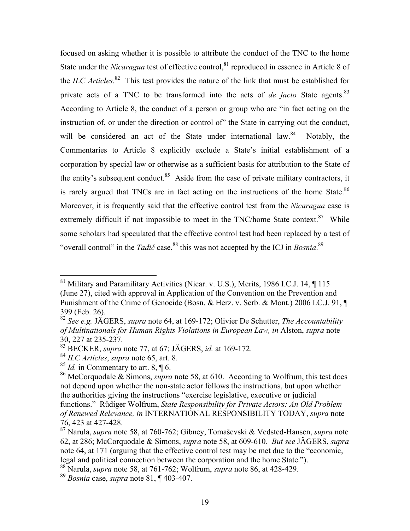focused on asking whether it is possible to attribute the conduct of the TNC to the home State under the *Nicaragua* test of effective control,<sup>81</sup> reproduced in essence in Article 8 of the *ILC Articles*. 82 This test provides the nature of the link that must be established for private acts of a TNC to be transformed into the acts of *de facto* State agents.<sup>83</sup> According to Article 8, the conduct of a person or group who are "in fact acting on the instruction of, or under the direction or control of" the State in carrying out the conduct, will be considered an act of the State under international law.<sup>84</sup> Notably, the Commentaries to Article 8 explicitly exclude a State's initial establishment of a corporation by special law or otherwise as a sufficient basis for attribution to the State of the entity's subsequent conduct.<sup>85</sup> Aside from the case of private military contractors, it is rarely argued that TNCs are in fact acting on the instructions of the home State. $86$ Moreover, it is frequently said that the effective control test from the *Nicaragua* case is extremely difficult if not impossible to meet in the TNC/home State context. $87$  While some scholars had speculated that the effective control test had been replaced by a test of "overall control" in the *Tadić* case,<sup>88</sup> this was not accepted by the ICJ in *Bosnia*.<sup>89</sup>

<sup>&</sup>lt;sup>81</sup> Military and Paramilitary Activities (Nicar. v. U.S.), Merits, 1986 I.C.J. 14, ¶ 115 (June 27), cited with approval in Application of the Convention on the Prevention and Punishment of the Crime of Genocide (Bosn. & Herz. v. Serb. & Mont.) 2006 I.C.J. 91, ¶ 399 (Feb. 26).

<sup>82</sup> *See e.g.* JÄGERS, *supra* note 64, at 169-172; Olivier De Schutter, *The Accountability of Multinationals for Human Rights Violations in European Law, in* Alston, *supra* note 30, 227 at 235-237.

<sup>83</sup> BECKER, *supra* note 77, at 67; JÄGERS, *id.* at 169-172.

<sup>84</sup> *ILC Articles*, *supra* note 65, art. 8.

<sup>85</sup> *Id.* in Commentary to art. 8, ¶ 6.

<sup>86</sup> McCorquodale & Simons, *supra* note 58, at 610. According to Wolfrum, this test does not depend upon whether the non-state actor follows the instructions, but upon whether the authorities giving the instructions "exercise legislative, executive or judicial functions." Rüdiger Wolfrum, *State Responsibility for Private Actors: An Old Problem of Renewed Relevance, in* INTERNATIONAL RESPONSIBILITY TODAY, *supra* note 76, 423 at 427-428.

<sup>87</sup> Narula, *supra* note 58, at 760-762; Gibney, Tomaševski & Vedsted-Hansen, *supra* note 62, at 286; McCorquodale & Simons, *supra* note 58, at 609-610. *But see* JÄGERS, *supra*  note 64, at 171 (arguing that the effective control test may be met due to the "economic, legal and political connection between the corporation and the home State.").

<sup>88</sup> Narula, *supra* note 58, at 761-762; Wolfrum, *supra* note 86, at 428-429.

<sup>89</sup> *Bosnia* case, *supra* note 81, ¶ 403-407.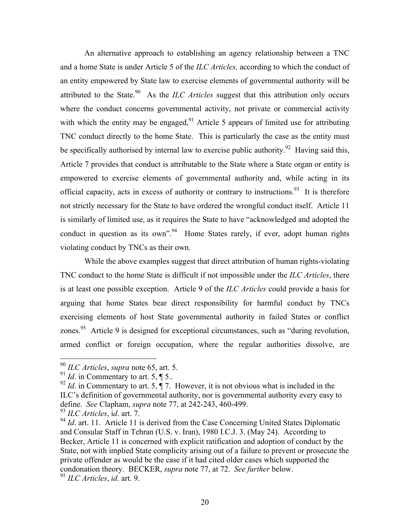An alternative approach to establishing an agency relationship between a TNC and a home State is under Article 5 of the *ILC Articles,* according to which the conduct of an entity empowered by State law to exercise elements of governmental authority will be attributed to the State.<sup>90</sup> As the *ILC Articles* suggest that this attribution only occurs where the conduct concerns governmental activity, not private or commercial activity with which the entity may be engaged,  $91$  Article 5 appears of limited use for attributing TNC conduct directly to the home State. This is particularly the case as the entity must be specifically authorised by internal law to exercise public authority.<sup>92</sup> Having said this, Article 7 provides that conduct is attributable to the State where a State organ or entity is empowered to exercise elements of governmental authority and, while acting in its official capacity, acts in excess of authority or contrary to instructions.<sup>93</sup> It is therefore not strictly necessary for the State to have ordered the wrongful conduct itself. Article 11 is similarly of limited use, as it requires the State to have "acknowledged and adopted the conduct in question as its own".<sup>94</sup> Home States rarely, if ever, adopt human rights violating conduct by TNCs as their own.

While the above examples suggest that direct attribution of human rights-violating TNC conduct to the home State is difficult if not impossible under the *ILC Articles*, there is at least one possible exception. Article 9 of the *ILC Articles* could provide a basis for arguing that home States bear direct responsibility for harmful conduct by TNCs exercising elements of host State governmental authority in failed States or conflict zones.<sup>95</sup> Article 9 is designed for exceptional circumstances, such as "during revolution, armed conflict or foreign occupation, where the regular authorities dissolve, are

<sup>&</sup>lt;sup>90</sup> *ILC Articles, supra* note 65, art. 5.<br><sup>91</sup> *Id.* in Commentary to art. 5,  $\P$  5..

<sup>&</sup>lt;sup>92</sup> *Id.* in Commentary to art. 5,  $\parallel$  7. However, it is not obvious what is included in the ILC's definition of governmental authority, nor is governmental authority every easy to define. *See* Clapham, *supra* note 77, at 242-243, 460-499. <sup>93</sup> *ILC Articles*, i*d*. art. 7.

<sup>&</sup>lt;sup>94</sup> *Id.* art. 11. Article 11 is derived from the Case Concerning United States Diplomatic and Consular Staff in Tehran (U.S. v. Iran), 1980 I.C.J. 3. (May 24). According to Becker, Article 11 is concerned with explicit ratification and adoption of conduct by the State, not with implied State complicity arising out of a failure to prevent or prosecute the private offender as would be the case if it had cited older cases which supported the condonation theory. BECKER, *supra* note 77, at 72. *See further* below. <sup>95</sup> *ILC Articles, id.* art. 9.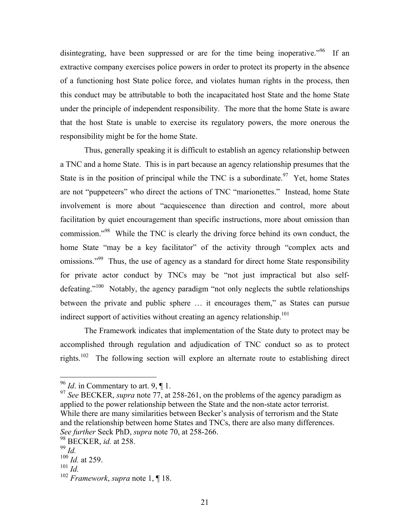disintegrating, have been suppressed or are for the time being inoperative.<sup> $96$ </sup> If an extractive company exercises police powers in order to protect its property in the absence of a functioning host State police force, and violates human rights in the process, then this conduct may be attributable to both the incapacitated host State and the home State under the principle of independent responsibility. The more that the home State is aware that the host State is unable to exercise its regulatory powers, the more onerous the responsibility might be for the home State.

Thus, generally speaking it is difficult to establish an agency relationship between a TNC and a home State. This is in part because an agency relationship presumes that the State is in the position of principal while the TNC is a subordinate.<sup>97</sup> Yet, home States are not "puppeteers" who direct the actions of TNC "marionettes." Instead, home State involvement is more about "acquiescence than direction and control, more about facilitation by quiet encouragement than specific instructions, more about omission than commission."98 While the TNC is clearly the driving force behind its own conduct, the home State "may be a key facilitator" of the activity through "complex acts and omissions."<sup>99</sup> Thus, the use of agency as a standard for direct home State responsibility for private actor conduct by TNCs may be "not just impractical but also selfdefeating."<sup>100</sup> Notably, the agency paradigm "not only neglects the subtle relationships between the private and public sphere … it encourages them," as States can pursue indirect support of activities without creating an agency relationship.<sup>101</sup>

The Framework indicates that implementation of the State duty to protect may be accomplished through regulation and adjudication of TNC conduct so as to protect rights.<sup>102</sup> The following section will explore an alternate route to establishing direct

 <sup>96</sup> *Id*. in Commentary to art. 9, ¶ 1.

<sup>97</sup> *See* BECKER, *supra* note 77, at 258-261, on the problems of the agency paradigm as applied to the power relationship between the State and the non-state actor terrorist. While there are many similarities between Becker's analysis of terrorism and the State and the relationship between home States and TNCs, there are also many differences. *See further* Seck PhD, *supra* note 70, at 258-266.

<sup>98</sup> BECKER, *id.* at 258.

<sup>99</sup> *Id.*

<sup>100</sup> *Id.* at 259.

<sup>101</sup> *Id.*

<sup>102</sup> *Framework*, *supra* note 1, ¶ 18.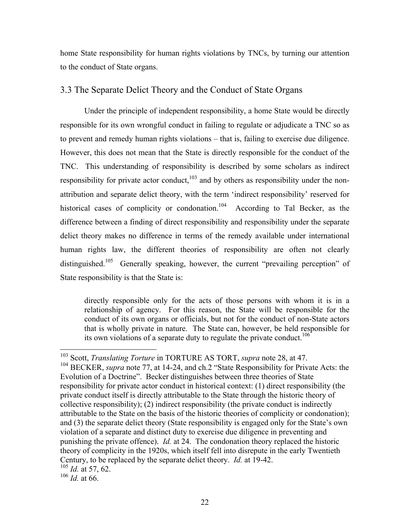home State responsibility for human rights violations by TNCs, by turning our attention to the conduct of State organs.

#### 3.3 The Separate Delict Theory and the Conduct of State Organs

Under the principle of independent responsibility, a home State would be directly responsible for its own wrongful conduct in failing to regulate or adjudicate a TNC so as to prevent and remedy human rights violations – that is, failing to exercise due diligence. However, this does not mean that the State is directly responsible for the conduct of the TNC. This understanding of responsibility is described by some scholars as indirect responsibility for private actor conduct, $103$  and by others as responsibility under the nonattribution and separate delict theory, with the term 'indirect responsibility' reserved for historical cases of complicity or condonation.<sup>104</sup> According to Tal Becker, as the difference between a finding of direct responsibility and responsibility under the separate delict theory makes no difference in terms of the remedy available under international human rights law, the different theories of responsibility are often not clearly distinguished.<sup>105</sup> Generally speaking, however, the current "prevailing perception" of State responsibility is that the State is:

directly responsible only for the acts of those persons with whom it is in a relationship of agency. For this reason, the State will be responsible for the conduct of its own organs or officials, but not for the conduct of non-State actors that is wholly private in nature. The State can, however, be held responsible for its own violations of a separate duty to regulate the private conduct.<sup>106</sup>

22

 <sup>103</sup> Scott, *Translating Torture* in TORTURE AS TORT, *supra* note 28, at 47.

<sup>&</sup>lt;sup>104</sup> BECKER, *supra* note 77, at 14-24, and ch.2 "State Responsibility for Private Acts: the Evolution of a Doctrine". Becker distinguishes between three theories of State responsibility for private actor conduct in historical context: (1) direct responsibility (the private conduct itself is directly attributable to the State through the historic theory of collective responsibility); (2) indirect responsibility (the private conduct is indirectly attributable to the State on the basis of the historic theories of complicity or condonation); and (3) the separate delict theory (State responsibility is engaged only for the State's own violation of a separate and distinct duty to exercise due diligence in preventing and punishing the private offence). *Id.* at 24. The condonation theory replaced the historic theory of complicity in the 1920s, which itself fell into disrepute in the early Twentieth Century, to be replaced by the separate delict theory. *Id.* at 19-42. <sup>105</sup> *Id.* at 57, 62.

<sup>106</sup> *Id.* at 66.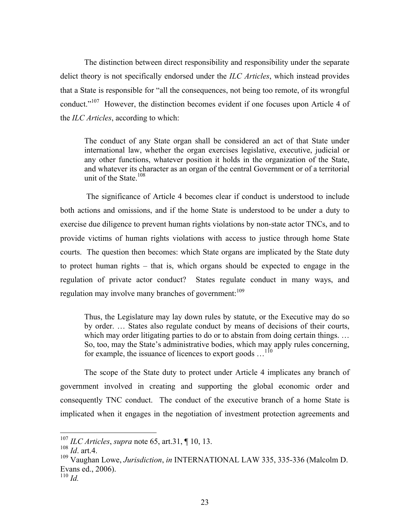The distinction between direct responsibility and responsibility under the separate delict theory is not specifically endorsed under the *ILC Articles*, which instead provides that a State is responsible for "all the consequences, not being too remote, of its wrongful conduct."107 However, the distinction becomes evident if one focuses upon Article 4 of the *ILC Articles*, according to which:

The conduct of any State organ shall be considered an act of that State under international law, whether the organ exercises legislative, executive, judicial or any other functions, whatever position it holds in the organization of the State, and whatever its character as an organ of the central Government or of a territorial unit of the State. $108$ 

 The significance of Article 4 becomes clear if conduct is understood to include both actions and omissions, and if the home State is understood to be under a duty to exercise due diligence to prevent human rights violations by non-state actor TNCs, and to provide victims of human rights violations with access to justice through home State courts. The question then becomes: which State organs are implicated by the State duty to protect human rights – that is, which organs should be expected to engage in the regulation of private actor conduct? States regulate conduct in many ways, and regulation may involve many branches of government:<sup>109</sup>

Thus, the Legislature may lay down rules by statute, or the Executive may do so by order. … States also regulate conduct by means of decisions of their courts, which may order litigating parties to do or to abstain from doing certain things... So, too, may the State's administrative bodies, which may apply rules concerning, for example, the issuance of licences to export goods  $\dots$ <sup>110</sup>

The scope of the State duty to protect under Article 4 implicates any branch of government involved in creating and supporting the global economic order and consequently TNC conduct. The conduct of the executive branch of a home State is implicated when it engages in the negotiation of investment protection agreements and

 <sup>107</sup> *ILC Articles*, *supra* note 65, art.31, ¶ 10, 13.

<sup>108</sup> *Id*. art.4.

<sup>109</sup> Vaughan Lowe, *Jurisdiction*, *in* INTERNATIONAL LAW 335, 335-336 (Malcolm D. Evans ed., 2006).

 $^{110}$  *Id.*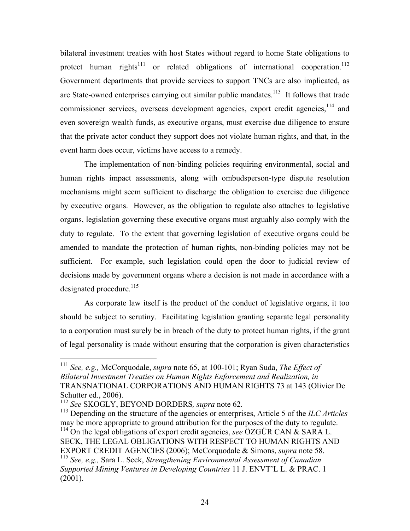bilateral investment treaties with host States without regard to home State obligations to protect human rights<sup>111</sup> or related obligations of international cooperation.<sup>112</sup> Government departments that provide services to support TNCs are also implicated, as are State-owned enterprises carrying out similar public mandates.<sup>113</sup> It follows that trade commissioner services, overseas development agencies, export credit agencies,  $114$  and even sovereign wealth funds, as executive organs, must exercise due diligence to ensure that the private actor conduct they support does not violate human rights, and that, in the event harm does occur, victims have access to a remedy.

The implementation of non-binding policies requiring environmental, social and human rights impact assessments, along with ombudsperson-type dispute resolution mechanisms might seem sufficient to discharge the obligation to exercise due diligence by executive organs. However, as the obligation to regulate also attaches to legislative organs, legislation governing these executive organs must arguably also comply with the duty to regulate. To the extent that governing legislation of executive organs could be amended to mandate the protection of human rights, non-binding policies may not be sufficient. For example, such legislation could open the door to judicial review of decisions made by government organs where a decision is not made in accordance with a designated procedure.<sup>115</sup>

As corporate law itself is the product of the conduct of legislative organs, it too should be subject to scrutiny. Facilitating legislation granting separate legal personality to a corporation must surely be in breach of the duty to protect human rights, if the grant of legal personality is made without ensuring that the corporation is given characteristics

 <sup>111</sup> *See, e.g.,* McCorquodale, *supra* note 65, at 100-101; Ryan Suda, *The Effect of Bilateral Investment Treaties on Human Rights Enforcement and Realization, in*  TRANSNATIONAL CORPORATIONS AND HUMAN RIGHTS 73 at 143 (Olivier De Schutter ed., 2006).<br><sup>112</sup> See SKOGLY, BEYOND BORDERS, *supra* note 62.

<sup>&</sup>lt;sup>113</sup> Depending on the structure of the agencies or enterprises, Article 5 of the *ILC Articles* may be more appropriate to ground attribution for the purposes of the duty to regulate.

<sup>114</sup> On the legal obligations of export credit agencies, *see* ÖZGÜR CAN & SARA L. SECK, THE LEGAL OBLIGATIONS WITH RESPECT TO HUMAN RIGHTS AND EXPORT CREDIT AGENCIES (2006); McCorquodale & Simons, *supra* note 58. <sup>115</sup> *See, e.g.,* Sara L. Seck, *Strengthening Environmental Assessment of Canadian* 

*Supported Mining Ventures in Developing Countries* 11 J. ENVT'L L. & PRAC. 1  $(2001)$ .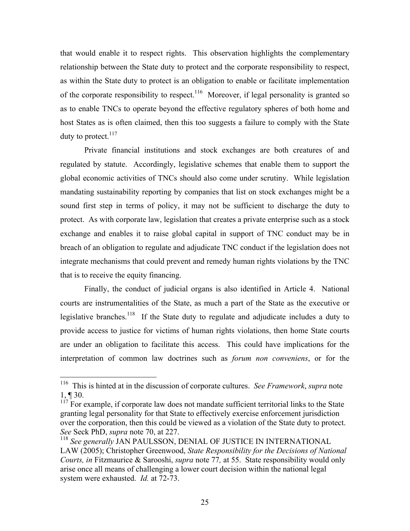that would enable it to respect rights. This observation highlights the complementary relationship between the State duty to protect and the corporate responsibility to respect, as within the State duty to protect is an obligation to enable or facilitate implementation of the corporate responsibility to respect.<sup>116</sup> Moreover, if legal personality is granted so as to enable TNCs to operate beyond the effective regulatory spheres of both home and host States as is often claimed, then this too suggests a failure to comply with the State duty to protect. $117$ 

Private financial institutions and stock exchanges are both creatures of and regulated by statute. Accordingly, legislative schemes that enable them to support the global economic activities of TNCs should also come under scrutiny. While legislation mandating sustainability reporting by companies that list on stock exchanges might be a sound first step in terms of policy, it may not be sufficient to discharge the duty to protect. As with corporate law, legislation that creates a private enterprise such as a stock exchange and enables it to raise global capital in support of TNC conduct may be in breach of an obligation to regulate and adjudicate TNC conduct if the legislation does not integrate mechanisms that could prevent and remedy human rights violations by the TNC that is to receive the equity financing.

Finally, the conduct of judicial organs is also identified in Article 4. National courts are instrumentalities of the State, as much a part of the State as the executive or legislative branches.<sup>118</sup> If the State duty to regulate and adjudicate includes a duty to provide access to justice for victims of human rights violations, then home State courts are under an obligation to facilitate this access. This could have implications for the interpretation of common law doctrines such as *forum non conveniens*, or for the

 <sup>116</sup> This is hinted at in the discussion of corporate cultures. *See Framework*, *supra* note 1, ¶ 30.

 $117$  For example, if corporate law does not mandate sufficient territorial links to the State granting legal personality for that State to effectively exercise enforcement jurisdiction over the corporation, then this could be viewed as a violation of the State duty to protect. *See* Seck PhD, *supra* note 70, at 227.

<sup>118</sup> *See generally* JAN PAULSSON, DENIAL OF JUSTICE IN INTERNATIONAL LAW (2005); Christopher Greenwood, *State Responsibility for the Decisions of National Courts, in* Fitzmaurice & Sarooshi, *supra* note 77*,* at 55. State responsibility would only arise once all means of challenging a lower court decision within the national legal system were exhausted. *Id.* at 72-73.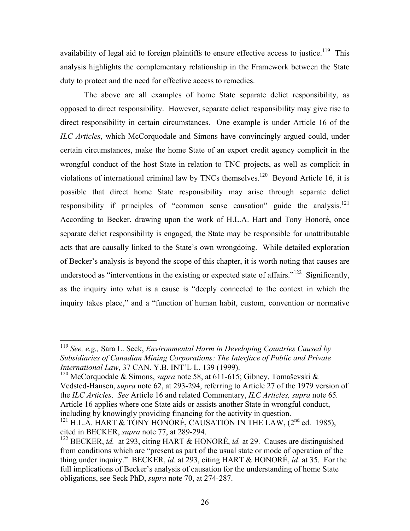availability of legal aid to foreign plaintiffs to ensure effective access to justice.<sup>119</sup> This analysis highlights the complementary relationship in the Framework between the State duty to protect and the need for effective access to remedies.

The above are all examples of home State separate delict responsibility, as opposed to direct responsibility. However, separate delict responsibility may give rise to direct responsibility in certain circumstances. One example is under Article 16 of the *ILC Articles*, which McCorquodale and Simons have convincingly argued could, under certain circumstances, make the home State of an export credit agency complicit in the wrongful conduct of the host State in relation to TNC projects, as well as complicit in violations of international criminal law by TNCs themselves.<sup>120</sup> Beyond Article 16, it is possible that direct home State responsibility may arise through separate delict responsibility if principles of "common sense causation" guide the analysis.<sup>121</sup> According to Becker, drawing upon the work of H.L.A. Hart and Tony Honoré, once separate delict responsibility is engaged, the State may be responsible for unattributable acts that are causally linked to the State's own wrongdoing. While detailed exploration of Becker's analysis is beyond the scope of this chapter, it is worth noting that causes are understood as "interventions in the existing or expected state of affairs." $122$  Significantly, as the inquiry into what is a cause is "deeply connected to the context in which the inquiry takes place," and a "function of human habit, custom, convention or normative

 <sup>119</sup> *See, e.g.,* Sara L. Seck, *Environmental Harm in Developing Countries Caused by Subsidiaries of Canadian Mining Corporations: The Interface of Public and Private International Law*, 37 CAN. Y.B. INT'L L. 139 (1999).

<sup>120</sup> McCorquodale & Simons, *supra* note 58, at 611-615; Gibney, Tomaševski & Vedsted-Hansen, *supra* note 62, at 293-294, referring to Article 27 of the 1979 version of the *ILC Articles*. *See* Article 16 and related Commentary, *ILC Articles, supra* note 65*.*  Article 16 applies where one State aids or assists another State in wrongful conduct, including by knowingly providing financing for the activity in question.

 $121$  H.L.A. HART & TONY HONORÉ, CAUSATION IN THE LAW,  $(2^{nd}$  ed. 1985), cited in BECKER, *supra* note 77, at 289-294.

<sup>122</sup> BECKER, *id.* at 293, citing HART & HONORÉ, *id.* at 29. Causes are distinguished from conditions which are "present as part of the usual state or mode of operation of the thing under inquiry." BECKER, *id*. at 293, citing HART & HONORÉ, *id*. at 35. For the full implications of Becker's analysis of causation for the understanding of home State obligations, see Seck PhD, *supra* note 70, at 274-287.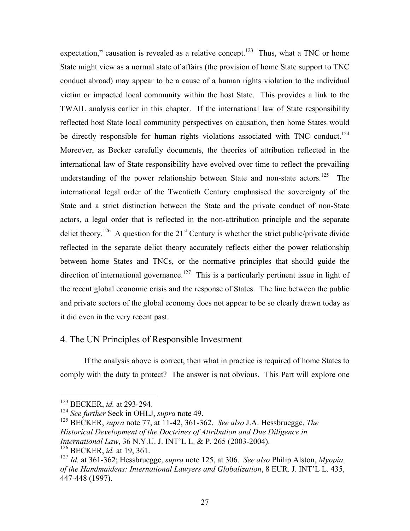expectation," causation is revealed as a relative concept.<sup>123</sup> Thus, what a TNC or home State might view as a normal state of affairs (the provision of home State support to TNC conduct abroad) may appear to be a cause of a human rights violation to the individual victim or impacted local community within the host State. This provides a link to the TWAIL analysis earlier in this chapter. If the international law of State responsibility reflected host State local community perspectives on causation, then home States would be directly responsible for human rights violations associated with TNC conduct.<sup>124</sup> Moreover, as Becker carefully documents, the theories of attribution reflected in the international law of State responsibility have evolved over time to reflect the prevailing understanding of the power relationship between State and non-state actors.<sup>125</sup> The international legal order of the Twentieth Century emphasised the sovereignty of the State and a strict distinction between the State and the private conduct of non-State actors, a legal order that is reflected in the non-attribution principle and the separate delict theory.<sup>126</sup> A question for the 21<sup>st</sup> Century is whether the strict public/private divide reflected in the separate delict theory accurately reflects either the power relationship between home States and TNCs, or the normative principles that should guide the direction of international governance.<sup>127</sup> This is a particularly pertinent issue in light of the recent global economic crisis and the response of States. The line between the public and private sectors of the global economy does not appear to be so clearly drawn today as it did even in the very recent past.

#### 4. The UN Principles of Responsible Investment

If the analysis above is correct, then what in practice is required of home States to comply with the duty to protect? The answer is not obvious. This Part will explore one

<sup>&</sup>lt;sup>123</sup> BECKER, *id.* at 293-294.<br><sup>124</sup> See further Seck in OHLJ, *supra* note 49.

<sup>&</sup>lt;sup>125</sup> BECKER, *supra* note 77, at 11-42, 361-362. *See also* J.A. Hessbruegge, *The Historical Development of the Doctrines of Attribution and Due Diligence in International Law*, 36 N.Y.U. J. INT'L L. & P. 265 (2003-2004). <sup>126</sup> BECKER, *id.* at 19, 361.

<sup>127</sup> *Id.* at 361-362; Hessbruegge, *supra* note 125, at 306. *See also* Philip Alston, *Myopia of the Handmaidens: International Lawyers and Globalization*, 8 EUR. J. INT'L L. 435, 447-448 (1997).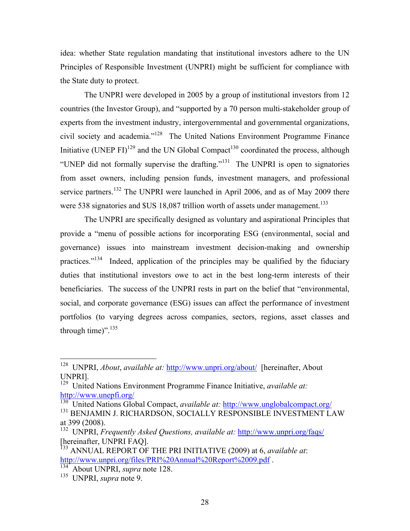idea: whether State regulation mandating that institutional investors adhere to the UN Principles of Responsible Investment (UNPRI) might be sufficient for compliance with the State duty to protect.

The UNPRI were developed in 2005 by a group of institutional investors from 12 countries (the Investor Group), and "supported by a 70 person multi-stakeholder group of experts from the investment industry, intergovernmental and governmental organizations, civil society and academia."128 The United Nations Environment Programme Finance Initiative (UNEP  $\text{FI}^{129}$  and the UN Global Compact<sup>130</sup> coordinated the process, although "UNEP did not formally supervise the drafting."<sup>131</sup> The UNPRI is open to signatories from asset owners, including pension funds, investment managers, and professional service partners.<sup>132</sup> The UNPRI were launched in April 2006, and as of May 2009 there were 538 signatories and \$US 18,087 trillion worth of assets under management.<sup>133</sup>

The UNPRI are specifically designed as voluntary and aspirational Principles that provide a "menu of possible actions for incorporating ESG (environmental, social and governance) issues into mainstream investment decision-making and ownership practices."<sup>134</sup> Indeed, application of the principles may be qualified by the fiduciary duties that institutional investors owe to act in the best long-term interests of their beneficiaries. The success of the UNPRI rests in part on the belief that "environmental, social, and corporate governance (ESG) issues can affect the performance of investment portfolios (to varying degrees across companies, sectors, regions, asset classes and through time)". $135$ 

 <sup>128</sup> UNPRI, *About*, *available at:* http://www.unpri.org/about/ [hereinafter, About UNPRI].

<sup>129</sup> United Nations Environment Programme Finance Initiative, *available at:* 

http://www.unepfi.org/ 130 United Nations Global Compact, *available at:* http://www.unglobalcompact.org/ 131 BENJAMIN J. RICHARDSON, SOCIALLY RESPONSIBLE INVESTMENT LAW at 399 (2008).

<sup>132</sup> UNPRI, *Frequently Asked Questions, available at:* http://www.unpri.org/faqs/ [hereinafter, UNPRI FAQ].

<sup>133</sup> ANNUAL REPORT OF THE PRI INITIATIVE (2009) at 6, *available at*: http://www.unpri.org/files/PRI%20Annual%20Report%2009.pdf . 134 About UNPRI, *supra* note 128.

<sup>135</sup> UNPRI, *supra* note 9.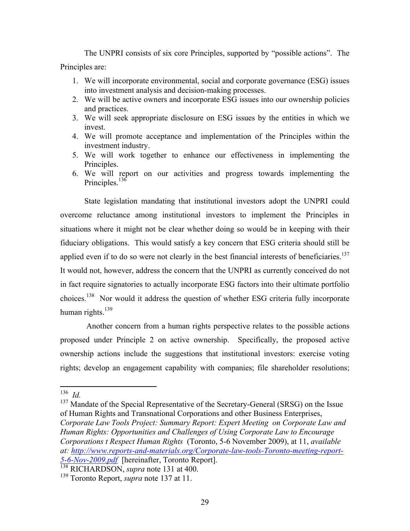The UNPRI consists of six core Principles, supported by "possible actions". The Principles are:

- 1. We will incorporate environmental, social and corporate governance (ESG) issues into investment analysis and decision-making processes.
- 2. We will be active owners and incorporate ESG issues into our ownership policies and practices.
- 3. We will seek appropriate disclosure on ESG issues by the entities in which we invest.
- 4. We will promote acceptance and implementation of the Principles within the investment industry.
- 5. We will work together to enhance our effectiveness in implementing the Principles.
- 6. We will report on our activities and progress towards implementing the Principles.<sup>136</sup>

State legislation mandating that institutional investors adopt the UNPRI could overcome reluctance among institutional investors to implement the Principles in situations where it might not be clear whether doing so would be in keeping with their fiduciary obligations. This would satisfy a key concern that ESG criteria should still be applied even if to do so were not clearly in the best financial interests of beneficiaries.<sup>137</sup> It would not, however, address the concern that the UNPRI as currently conceived do not in fact require signatories to actually incorporate ESG factors into their ultimate portfolio choices.<sup>138</sup> Nor would it address the question of whether ESG criteria fully incorporate human rights.<sup>139</sup>

Another concern from a human rights perspective relates to the possible actions proposed under Principle 2 on active ownership. Specifically, the proposed active ownership actions include the suggestions that institutional investors: exercise voting rights; develop an engagement capability with companies; file shareholder resolutions;

<sup>&</sup>lt;sup>136</sup> *Id.* 137 Mandate of the Special Representative of the Secretary-General (SRSG) on the Issue of Human Rights and Transnational Corporations and other Business Enterprises, *Corporate Law Tools Project: Summary Report: Expert Meeting on Corporate Law and Human Rights: Opportunities and Challenges of Using Corporate Law to Encourage Corporations t Respect Human Rights* (Toronto, 5-6 November 2009), at 11, *available at: http://www.reports-and-materials.org/Corporate-law-tools-Toronto-meeting-report-5-6-Nov-2009.pdf* [hereinafter, Toronto Report].

<sup>138</sup> RICHARDSON, *supra* note 131 at 400.

<sup>139</sup> Toronto Report, *supra* note 137 at 11.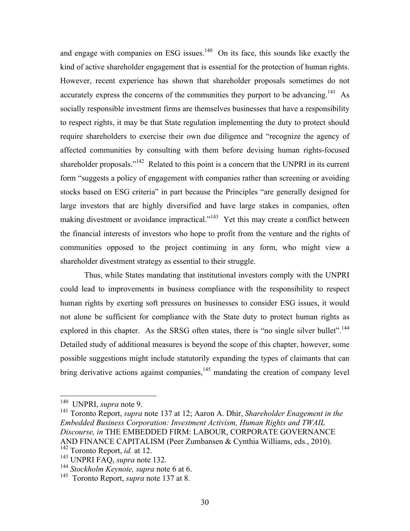and engage with companies on ESG issues. $140$  On its face, this sounds like exactly the kind of active shareholder engagement that is essential for the protection of human rights. However, recent experience has shown that shareholder proposals sometimes do not accurately express the concerns of the communities they purport to be advancing.<sup>141</sup> As socially responsible investment firms are themselves businesses that have a responsibility to respect rights, it may be that State regulation implementing the duty to protect should require shareholders to exercise their own due diligence and "recognize the agency of affected communities by consulting with them before devising human rights-focused shareholder proposals."<sup>142</sup> Related to this point is a concern that the UNPRI in its current form "suggests a policy of engagement with companies rather than screening or avoiding stocks based on ESG criteria" in part because the Principles "are generally designed for large investors that are highly diversified and have large stakes in companies, often making divestment or avoidance impractical."<sup>143</sup> Yet this may create a conflict between the financial interests of investors who hope to profit from the venture and the rights of communities opposed to the project continuing in any form, who might view a shareholder divestment strategy as essential to their struggle.

Thus, while States mandating that institutional investors comply with the UNPRI could lead to improvements in business compliance with the responsibility to respect human rights by exerting soft pressures on businesses to consider ESG issues, it would not alone be sufficient for compliance with the State duty to protect human rights as explored in this chapter. As the SRSG often states, there is "no single silver bullet".<sup>144</sup> Detailed study of additional measures is beyond the scope of this chapter, however, some possible suggestions might include statutorily expanding the types of claimants that can bring derivative actions against companies, $145$  mandating the creation of company level

 <sup>140</sup> UNPRI, *supra* note 9.

<sup>141</sup> Toronto Report, *supra* note 137 at 12; Aaron A. Dhir, *Shareholder Enagement in the Embedded Business Corporation: Investment Activism, Human Rights and TWAIL Discourse, in* THE EMBEDDED FIRM: LABOUR, CORPORATE GOVERNANCE AND FINANCE CAPITALISM (Peer Zumbansen & Cynthia Williams, eds., 2010).

<sup>&</sup>lt;sup>142</sup> Toronto Report, *id.* at 12.<br><sup>143</sup> UNPRI FAQ, *supra* note 132.

<sup>&</sup>lt;sup>144</sup> Stockholm Keynote, supra note 6 at 6.

<sup>145</sup> Toronto Report, *supra* note 137 at 8.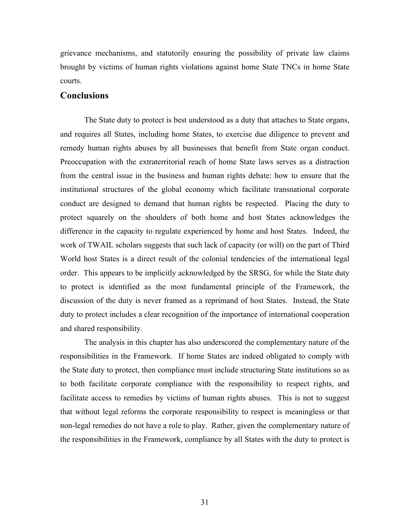grievance mechanisms, and statutorily ensuring the possibility of private law claims brought by victims of human rights violations against home State TNCs in home State courts.

#### **Conclusions**

The State duty to protect is best understood as a duty that attaches to State organs, and requires all States, including home States, to exercise due diligence to prevent and remedy human rights abuses by all businesses that benefit from State organ conduct. Preoccupation with the extraterritorial reach of home State laws serves as a distraction from the central issue in the business and human rights debate: how to ensure that the institutional structures of the global economy which facilitate transnational corporate conduct are designed to demand that human rights be respected. Placing the duty to protect squarely on the shoulders of both home and host States acknowledges the difference in the capacity to regulate experienced by home and host States. Indeed, the work of TWAIL scholars suggests that such lack of capacity (or will) on the part of Third World host States is a direct result of the colonial tendencies of the international legal order. This appears to be implicitly acknowledged by the SRSG, for while the State duty to protect is identified as the most fundamental principle of the Framework, the discussion of the duty is never framed as a reprimand of host States. Instead, the State duty to protect includes a clear recognition of the importance of international cooperation and shared responsibility.

The analysis in this chapter has also underscored the complementary nature of the responsibilities in the Framework. If home States are indeed obligated to comply with the State duty to protect, then compliance must include structuring State institutions so as to both facilitate corporate compliance with the responsibility to respect rights, and facilitate access to remedies by victims of human rights abuses. This is not to suggest that without legal reforms the corporate responsibility to respect is meaningless or that non-legal remedies do not have a role to play. Rather, given the complementary nature of the responsibilities in the Framework, compliance by all States with the duty to protect is